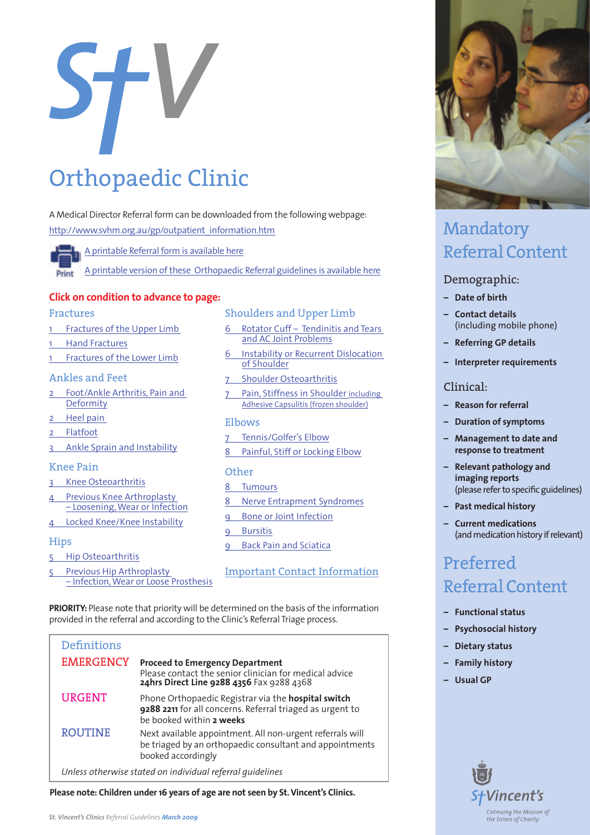<span id="page-0-0"></span>

# Orthopaedic Clinic

A Medical Director Referral form can be downloaded from the following webpage: [http://www.svhm.org.au/gp/outpatient\\_information.htm](www.svhm.org.au/gp/outpatient_information.htm)

[A printable Referral form is available here](www.svhm.org.au/gp/Docs/Appointment%20Request%20Form.pdf)

[A printable version of these Orthopaedic Referral guidelines is available here](www.svhm.org.au/GP/Docs/SVHGPGuide_Ortho_print.pdf)

### **Click on condition to advance to page:**

#### Fractures

- 1 [Fractures of the Upper Limb](#page-1-0)
- 1 Hand Fractures
- 1 Fractures of the Lower Limb

#### Ankles and Feet

- 2 [Foot/Ankle Arthritis, Pain and](#page-2-0)  Deformity
- 2 Heel pain
- 2 Flatfoot
- 3 [Ankle Sprain and Instability](#page-3-0)

#### Knee Pain

- 3 [Knee Osteoarthritis](#page-3-0)
- Previous Knee Arthroplasty [– Loosening, Wear or Infection](#page-4-0)
- 4 Locked Knee/Knee Instability

#### **Hips**

- 5 Hip Osteoarthritis
- 5 Previous Hip Arthroplasty [– Infection, Wear or Loose Prosthesis](#page-5-0)

#### Shoulders and Upper Limb

- 6 Rotator Cuff Tendinitis and Tears and AC Joint Problems
- 6 [Instability or Recurrent Dislocation](#page-6-0)  of Shoulder
- 7 Shoulder Osteoarthritis
- 7 [Pain, Stiffness in Shoulder including](#page-7-0)  Adhesive Capsulitis (frozen shoulder)

#### Elbows

7 [Tennis/Golfer's Elbow](#page-7-0) 8 [Painful, Stiff or Locking Elbow](#page-8-0)

#### **Other**

- 8 Tumours
- 8 [Nerve Entrapment Syndromes](#page-8-0)
- 9 [Bone or Joint Infection](#page-9-0)
- **Bursitis**
- 9 Back Pain and Sciatica
- [Important Contact Information](#page-10-0)

**PRIORITY:** Please note that priority will be determined on the basis of the information provided in the referral and according to the Clinic's Referral Triage process.

| <b>Definitions</b>                                        |                                                                                                                                               |
|-----------------------------------------------------------|-----------------------------------------------------------------------------------------------------------------------------------------------|
|                                                           |                                                                                                                                               |
| <b>EMERGENCY</b>                                          | <b>Proceed to Emergency Department</b><br>Please contact the senior clinician for medical advice<br>24hrs Direct Line 9288 4356 Fax 9288 4368 |
| <b>URGENT</b>                                             | Phone Orthopaedic Registrar via the hospital switch<br>9288 2211 for all concerns. Referral triaged as urgent to<br>be booked within 2 weeks  |
| <b>ROUTINE</b>                                            | Next available appointment. All non-urgent referrals will<br>be triaged by an orthopaedic consultant and appointments<br>booked accordingly   |
| Unless otherwise stated on individual referral quidelines |                                                                                                                                               |

**Please note: Children under 16 years of age are not seen by St. Vincent's Clinics.**



## Mandatory Referral Content

### Demographic:

- **– Date of birth**
- **– Contact details**  (including mobile phone)
- **– Referring GP details**
- **– Interpreter requirements**

## Clinical:

- **– Reason for referral**
- **– Duration of symptoms**
- **– Management to date and response to treatment**
- **– Relevant pathology and imaging reports**  (please refer to specific guidelines)
- **– Past medical history**
- **– Current medications**  (and medication history if relevant)

## Preferred Referral Content

- **– Functional status**
- **– Psychosocial history**
- **– Dietary status**
- **– Family history**
- **– Usual GP**

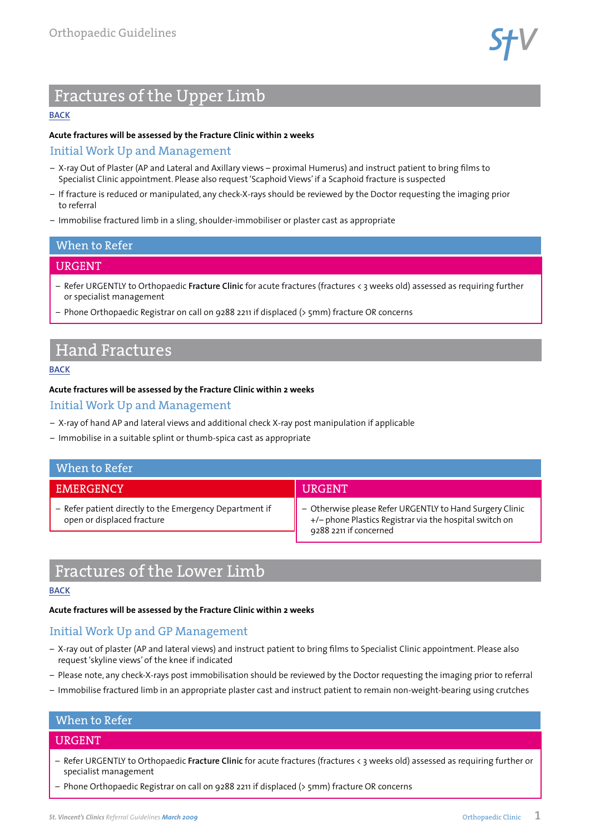

## <span id="page-1-0"></span>Fractures of the Upper Limb

#### **[BACK](#page-0-0)**

#### **Acute fractures will be assessed by the Fracture Clinic within 2 weeks**

### Initial Work Up and Management

- X-ray Out of Plaster (AP and Lateral and Axillary views proximal Humerus) and instruct patient to bring films to Specialist Clinic appointment. Please also request 'Scaphoid Views' if a Scaphoid fracture is suspected
- If fracture is reduced or manipulated, any check-X-rays should be reviewed by the Doctor requesting the imaging prior to referral
- Immobilise fractured limb in a sling, shoulder-immobiliser or plaster cast as appropriate

#### When to Refer

## URGENT

- Refer URGENTLY to Orthopaedic **Fracture Clinic** for acute fractures (fractures < 3 weeks old) assessed as requiring further or specialist management
- Phone Orthopaedic Registrar on call on 9288 2211 if displaced (> 5mm) fracture OR concerns

## Hand Fractures

#### **[BACK](#page-0-0)**

#### **Acute fractures will be assessed by the Fracture Clinic within 2 weeks**

## Initial Work Up and Management

- X-ray of hand AP and lateral views and additional check X-ray post manipulation if applicable
- Immobilise in a suitable splint or thumb-spica cast as appropriate

| When to Refer                                                                         |                                                                                                                                               |
|---------------------------------------------------------------------------------------|-----------------------------------------------------------------------------------------------------------------------------------------------|
| <b>EMERGENCY</b>                                                                      | <b>URGENT</b>                                                                                                                                 |
| - Refer patient directly to the Emergency Department if<br>open or displaced fracture | - Otherwise please Refer URGENTLY to Hand Surgery Clinic<br>+/- phone Plastics Registrar via the hospital switch on<br>9288 2211 if concerned |

## Fractures of the Lower Limb

#### **[BACK](#page-0-0)**

#### **Acute fractures will be assessed by the Fracture Clinic within 2 weeks**

## Initial Work Up and GP Management

- X-ray out of plaster (AP and lateral views) and instruct patient to bring films to Specialist Clinic appointment. Please also request 'skyline views' of the knee if indicated
- Please note, any check-X-rays post immobilisation should be reviewed by the Doctor requesting the imaging prior to referral
- Immobilise fractured limb in an appropriate plaster cast and instruct patient to remain non-weight-bearing using crutches

### When to Refer

### URGENT

- Refer URGENTLY to Orthopaedic **Fracture Clinic** for acute fractures (fractures < 3 weeks old) assessed as requiring further or specialist management
- Phone Orthopaedic Registrar on call on 9288 2211 if displaced (> 5mm) fracture OR concerns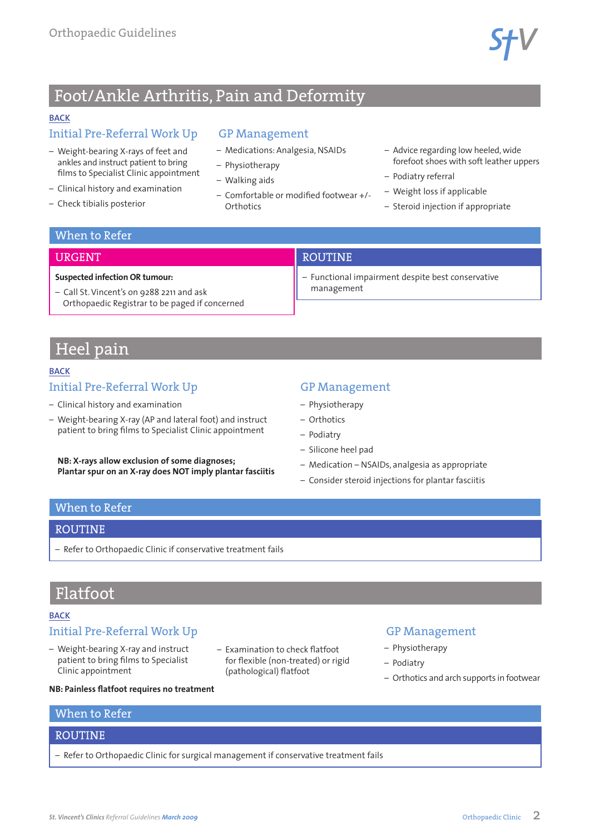

## <span id="page-2-0"></span>Foot/Ankle Arthritis, Pain and Deformity

#### **[BACK](#page-0-0)**

## Initial Pre-Referral Work Up

- Weight-bearing X-rays of feet and ankles and instruct patient to bring films to Specialist Clinic appointment
- Clinical history and examination

**Suspected infection OR tumour:**

– Call St. Vincent's on 9288 2211 and ask

Orthopaedic Registrar to be paged if concerned

– Check tibialis posterior

### GP Management

- Medications: Analgesia, NSAIDs
- Physiotherapy
- Walking aids
- Comfortable or modified footwear +/- **Orthotics**
- Advice regarding low heeled, wide forefoot shoes with soft leather uppers
- Podiatry referral
- Weight loss if applicable
- Steroid injection if appropriate

## When to Refer

URGENT

## ROUTINE

– Functional impairment despite best conservative management

## Heel pain

#### **[BACK](#page-0-0)**

## Initial Pre-Referral Work Up

- Clinical history and examination
- Weight-bearing X-ray (AP and lateral foot) and instruct patient to bring films to Specialist Clinic appointment

**NB: X-rays allow exclusion of some diagnoses; Plantar spur on an X-ray does NOT imply plantar fasciitis**

## GP Management

- Physiotherapy
- Orthotics
- Podiatry
- Silicone heel pad
- Medication NSAIDs, analgesia as appropriate
- Consider steroid injections for plantar fasciitis

## When to Refer

#### **ROUTINE**

– Refer to Orthopaedic Clinic if conservative treatment fails

## Flatfoot

#### **[BACK](#page-0-0)**

## Initial Pre-Referral Work Up

- Weight-bearing X-ray and instruct patient to bring films to Specialist Clinic appointment
- Examination to check flatfoot for flexible (non-treated) or rigid (pathological) flatfoot

## GP Management

- Physiotherapy
- Podiatry
- Orthotics and arch supports in footwear

#### **NB: Painless flatfoot requires no treatment**

## When to Refer

## ROUTINE

– Refer to Orthopaedic Clinic for surgical management if conservative treatment fails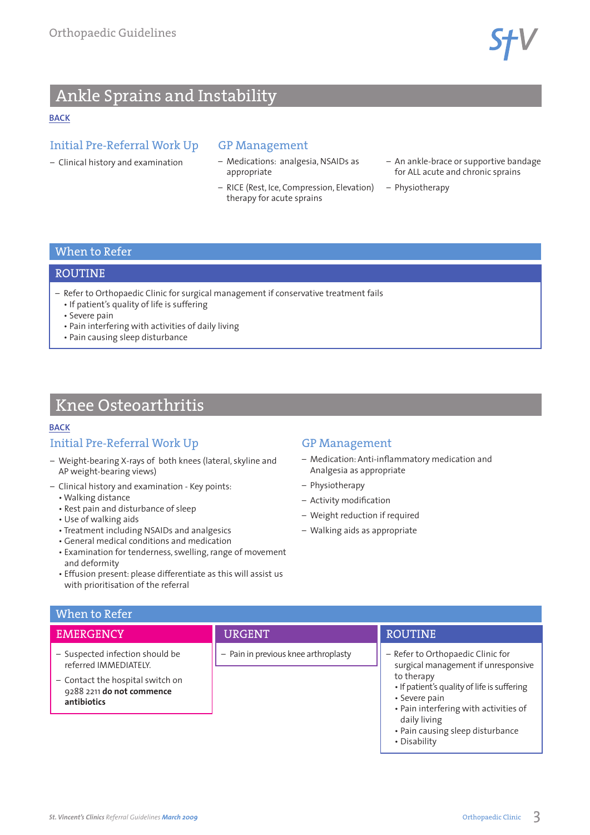$\mathsf{STV}$ 

## <span id="page-3-0"></span>Ankle Sprains and Instability

#### **[BACK](#page-0-0)**

## Initial Pre-Referral Work Up

– Clinical history and examination

## GP Management

- Medications: analgesia, NSAIDs as appropriate
- RICE (Rest, Ice, Compression, Elevation) therapy for acute sprains
- An ankle-brace or supportive bandage for ALL acute and chronic sprains
- Physiotherapy

## When to Refer

#### ROUTINE

- Refer to Orthopaedic Clinic for surgical management if conservative treatment fails
	- If patient's quality of life is suffering
	- Severe pain
	- Pain interfering with activities of daily living
	- Pain causing sleep disturbance

## Knee Osteoarthritis

#### **[BACK](#page-0-0)**

## Initial Pre-Referral Work Up

- Weight-bearing X-rays of both knees (lateral, skyline and AP weight-bearing views)
- Clinical history and examination Key points:
- Walking distance
- Rest pain and disturbance of sleep
- Use of walking aids
- Treatment including NSAIDs and analgesics
- General medical conditions and medication
- Examination for tenderness, swelling, range of movement and deformity
- Effusion present: please differentiate as this will assist us with prioritisation of the referral

## GP Management

- Medication: Anti-inflammatory medication and Analgesia as appropriate
- Physiotherapy
- Activity modification
- Weight reduction if required
- Walking aids as appropriate

## When to Refer

## **EMERGENCY**

- Suspected infection should be referred IMMEDIATELY.
- Contact the hospital switch on 9288 2211 **do not commence antibiotics**

## URGENT

– Pain in previous knee arthroplasty

## ROUTINE

- Refer to Orthopaedic Clinic for surgical management if unresponsive to therapy
	- If patient's quality of life is suffering • Severe pain
	- Pain interfering with activities of daily living
	- Pain causing sleep disturbance
- Disability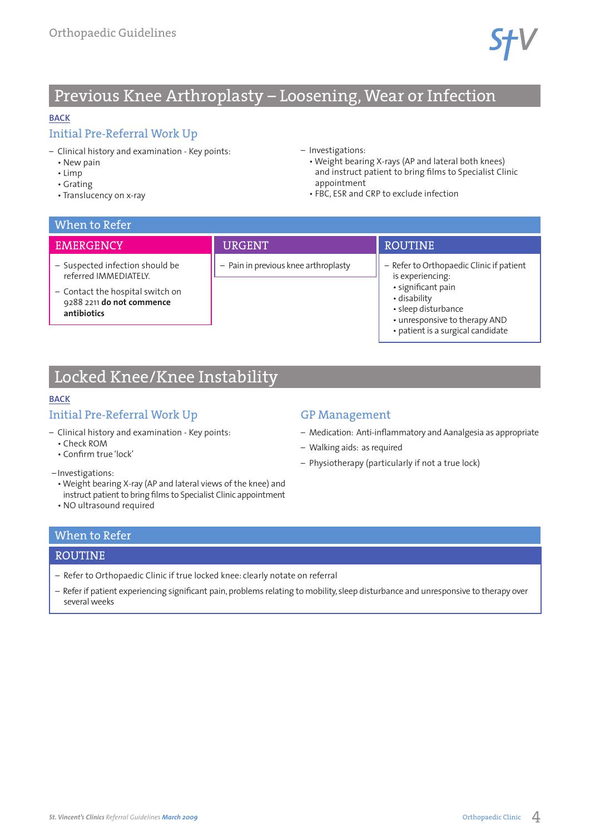## <span id="page-4-0"></span>Previous Knee Arthroplasty – Loosening, Wear or Infection

### **[BACK](#page-0-0)**

## Initial Pre-Referral Work Up

- Clinical history and examination Key points:
	- New pain
	- Limp
	- Grating
	- Translucency on x-ray

### – Investigations:

- Weight bearing X-rays (AP and lateral both knees) and instruct patient to bring films to Specialist Clinic appointment
- FBC, ESR and CRP to exclude infection

| When to Refer                                                                                                                            |                                      |                                                                                                                                                                                                 |  |
|------------------------------------------------------------------------------------------------------------------------------------------|--------------------------------------|-------------------------------------------------------------------------------------------------------------------------------------------------------------------------------------------------|--|
| <b>EMERGENCY</b>                                                                                                                         | <b>URGENT</b>                        | <b>ROUTINE</b>                                                                                                                                                                                  |  |
| - Suspected infection should be<br>referred IMMEDIATELY.<br>- Contact the hospital switch on<br>9288 2211 do not commence<br>antibiotics | - Pain in previous knee arthroplasty | - Refer to Orthopaedic Clinic if patient<br>is experiencing:<br>· significant pain<br>• disability<br>• sleep disturbance<br>• unresponsive to therapy AND<br>· patient is a surgical candidate |  |

## Locked Knee/Knee Instability

## **[BACK](#page-0-0)**

## Initial Pre-Referral Work Up

- Clinical history and examination Key points:
	- Check ROM
	- Confirm true 'lock'
- Investigations:
- Weight bearing X-ray (AP and lateral views of the knee) and instruct patient to bring films to Specialist Clinic appointment
- NO ultrasound required

## GP Management

- Medication: Anti-inflammatory and Aanalgesia as appropriate
- Walking aids: as required
- Physiotherapy (particularly if not a true lock)

## When to Refer

#### ROUTINE

- Refer to Orthopaedic Clinic if true locked knee: clearly notate on referral
- Refer if patient experiencing significant pain, problems relating to mobility, sleep disturbance and unresponsive to therapy over several weeks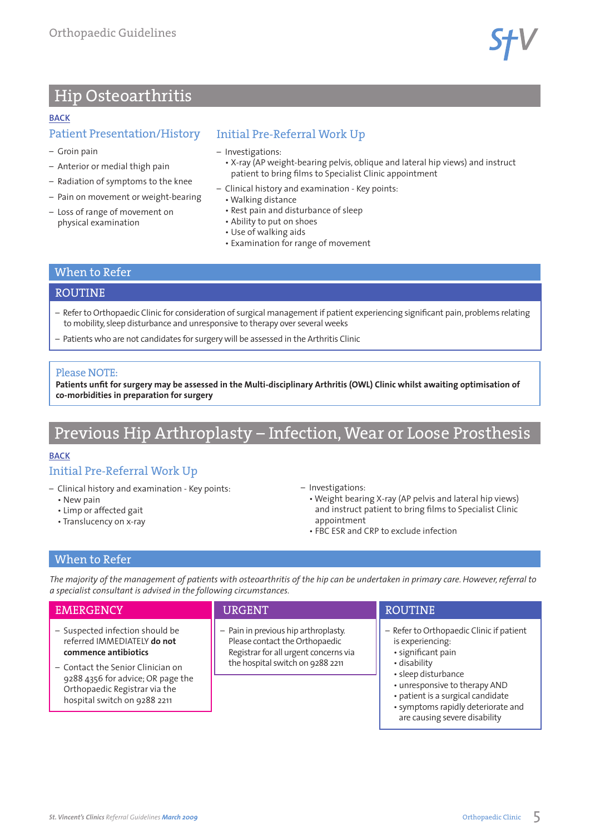$57^{\circ}$ 

## <span id="page-5-0"></span>Hip Osteoarthritis

#### **[BACK](#page-0-0)**

## Patient Presentation/History

- Groin pain
- Anterior or medial thigh pain
- Radiation of symptoms to the knee
- Pain on movement or weight-bearing
- Loss of range of movement on physical examination

## Initial Pre-Referral Work Up

- Investigations:
	- X-ray (AP weight-bearing pelvis, oblique and lateral hip views) and instruct patient to bring films to Specialist Clinic appointment
- Clinical history and examination Key points:
	- Walking distance
	- Rest pain and disturbance of sleep
	- Ability to put on shoes
	- Use of walking aids
	- Examination for range of movement

### When to Refer

### ROUTINE

- Refer to Orthopaedic Clinic for consideration of surgical management if patient experiencing significant pain, problems relating to mobility, sleep disturbance and unresponsive to therapy over several weeks
- Patients who are not candidates for surgery will be assessed in the Arthritis Clinic

### Please NOTE:

**Patients unfit for surgery may be assessed in the Multi-disciplinary Arthritis (OWL) Clinic whilst awaiting optimisation of co-morbidities in preparation for surgery**

## Previous Hip Arthroplasty – Infection, Wear or Loose Prosthesis

#### **[BACK](#page-0-0)**

## Initial Pre-Referral Work Up

- Clinical history and examination Key points:
	- New pain
	- Limp or affected gait
	- Translucency on x-ray

– Investigations:

- Weight bearing X-ray (AP pelvis and lateral hip views) and instruct patient to bring films to Specialist Clinic appointment
- FBC ESR and CRP to exclude infection

## When to Refer

*The majority of the management of patients with osteoarthritis of the hip can be undertaken in primary care. However, referral to a specialist consultant is advised in the following circumstances.*

| <b>EMERGENCY</b>                                                                                                                                                                                                                  | <b>URGENT</b>                                                                                                                                       | <b>ROUTINE</b>                                                                                                                                                                                                                                                         |
|-----------------------------------------------------------------------------------------------------------------------------------------------------------------------------------------------------------------------------------|-----------------------------------------------------------------------------------------------------------------------------------------------------|------------------------------------------------------------------------------------------------------------------------------------------------------------------------------------------------------------------------------------------------------------------------|
| - Suspected infection should be<br>referred IMMEDIATELY do not<br>commence antibiotics<br>- Contact the Senior Clinician on<br>9288 4356 for advice; OR page the<br>Orthopaedic Registrar via the<br>hospital switch on 9288 2211 | - Pain in previous hip arthroplasty.<br>Please contact the Orthopaedic<br>Registrar for all urgent concerns via<br>the hospital switch on 9288 2211 | - Refer to Orthopaedic Clinic if patient<br>is experiencing:<br>· significant pain<br>• disability<br>• sleep disturbance<br>• unresponsive to therapy AND<br>• patient is a surgical candidate<br>• symptoms rapidly deteriorate and<br>are causing severe disability |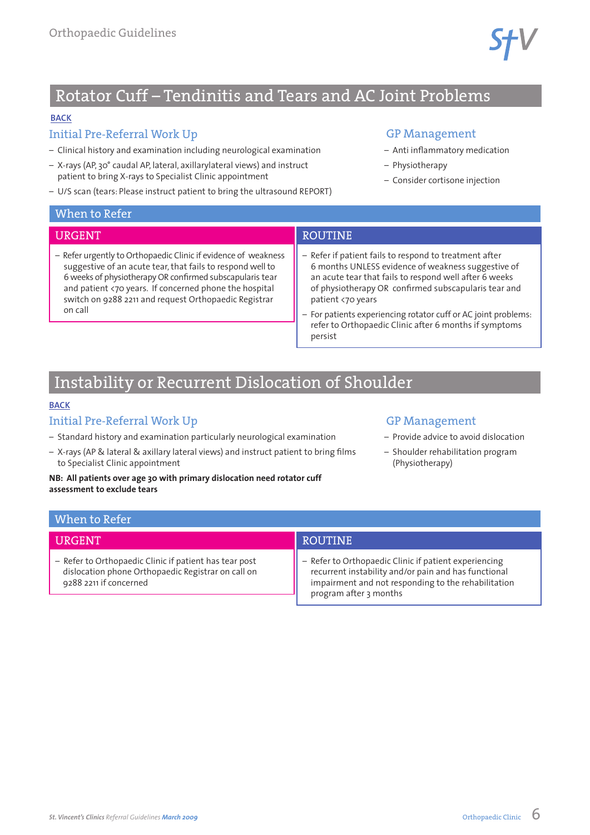## <span id="page-6-0"></span>Rotator Cuff – Tendinitis and Tears and AC Joint Problems

## **[BACK](#page-0-0)**

## Initial Pre-Referral Work Up

- Clinical history and examination including neurological examination
- X-rays (AP, 30° caudal AP, lateral, axillarylateral views) and instruct patient to bring X-rays to Specialist Clinic appointment
- U/S scan (tears: Please instruct patient to bring the ultrasound REPORT)

### GP Management

- Anti inflammatory medication
- Physiotherapy
- Consider cortisone injection

|  |  |  |  | When to Refer |
|--|--|--|--|---------------|
|--|--|--|--|---------------|

## URGENT

– Refer urgently to Orthopaedic Clinic if evidence of weakness suggestive of an acute tear, that fails to respond well to 6 weeks of physiotherapy OR confirmed subscapularis tear and patient <70 years. If concerned phone the hospital switch on 9288 2211 and request Orthopaedic Registrar on call

## ROUTINE

- Refer if patient fails to respond to treatment after 6 months UNLESS evidence of weakness suggestive of an acute tear that fails to respond well after 6 weeks of physiotherapy OR confirmed subscapularis tear and patient <70 years
- For patients experiencing rotator cuff or AC joint problems: refer to Orthopaedic Clinic after 6 months if symptoms persist

## Instability or Recurrent Dislocation of Shoulder

#### **[BACK](#page-0-0)**

## Initial Pre-Referral Work Up

- Standard history and examination particularly neurological examination
- X-rays (AP & lateral & axillary lateral views) and instruct patient to bring films to Specialist Clinic appointment

#### **NB: All patients over age 30 with primary dislocation need rotator cuff assessment to exclude tears**

## GP Management

- Provide advice to avoid dislocation
- Shoulder rehabilitation program (Physiotherapy)

| When to Refer                                                                                                                          |                                                                                                                                                                                                |
|----------------------------------------------------------------------------------------------------------------------------------------|------------------------------------------------------------------------------------------------------------------------------------------------------------------------------------------------|
| <b>IIRGENT</b>                                                                                                                         | <b>ROUTINE</b>                                                                                                                                                                                 |
| - Refer to Orthopaedic Clinic if patient has tear post<br>dislocation phone Orthopaedic Registrar on call on<br>9288 2211 if concerned | - Refer to Orthopaedic Clinic if patient experiencing<br>recurrent instability and/or pain and has functional<br>impairment and not responding to the rehabilitation<br>program after 3 months |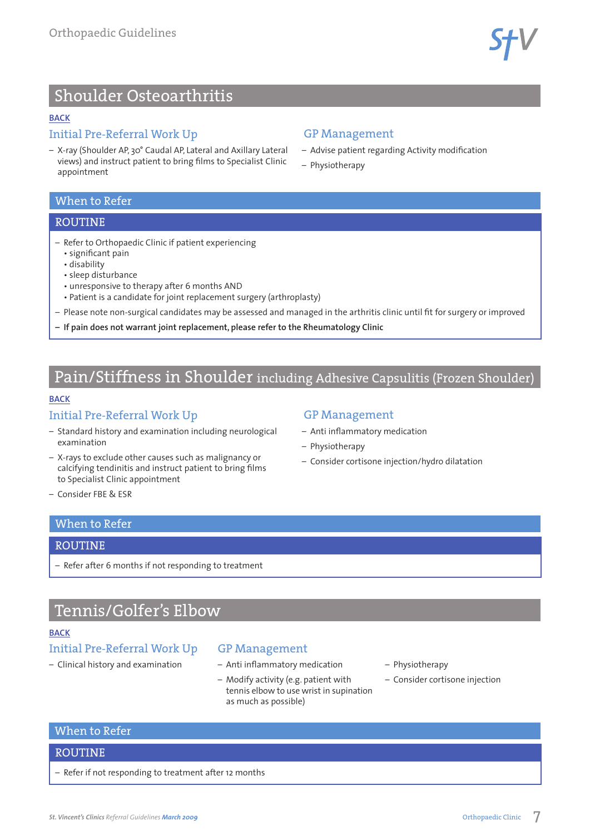$STV$ 

## <span id="page-7-0"></span>Shoulder Osteoarthritis

#### **[BACK](#page-0-0)**

## Initial Pre-Referral Work Up

– X-ray (Shoulder AP, 30° Caudal AP, Lateral and Axillary Lateral views) and instruct patient to bring films to Specialist Clinic appointment

## GP Management

- Advise patient regarding Activity modification
- Physiotherapy

## When to Refer

### ROUTINE

- Refer to Orthopaedic Clinic if patient experiencing
	- significant pain
	- disability
	- sleep disturbance
	- unresponsive to therapy after 6 months AND
	- Patient is a candidate for joint replacement surgery (arthroplasty)
- Please note non-surgical candidates may be assessed and managed in the arthritis clinic until fit for surgery or improved
- **– If pain does not warrant joint replacement, please refer to the Rheumatology Clinic**

## Pain/Stiffness in Shoulder including Adhesive Capsulitis (Frozen Shoulder)

#### **[BACK](#page-0-0)**

### Initial Pre-Referral Work Up

- Standard history and examination including neurological examination
- X-rays to exclude other causes such as malignancy or calcifying tendinitis and instruct patient to bring films to Specialist Clinic appointment

## GP Management

- Anti inflammatory medication
- Physiotherapy
- Consider cortisone injection/hydro dilatation

– Consider FBE & ESR

## When to Refer

#### ROUTINE

– Refer after 6 months if not responding to treatment

## Tennis/Golfer's Elbow

#### **[BACK](#page-0-0)**

## Initial Pre-Referral Work Up

– Clinical history and examination

#### GP Management

- Anti inflammatory medication
- Modify activity (e.g. patient with tennis elbow to use wrist in supination as much as possible)
- Physiotherapy
- Consider cortisone injection

#### When to Refer

#### ROUTINE

– Refer if not responding to treatment after 12 months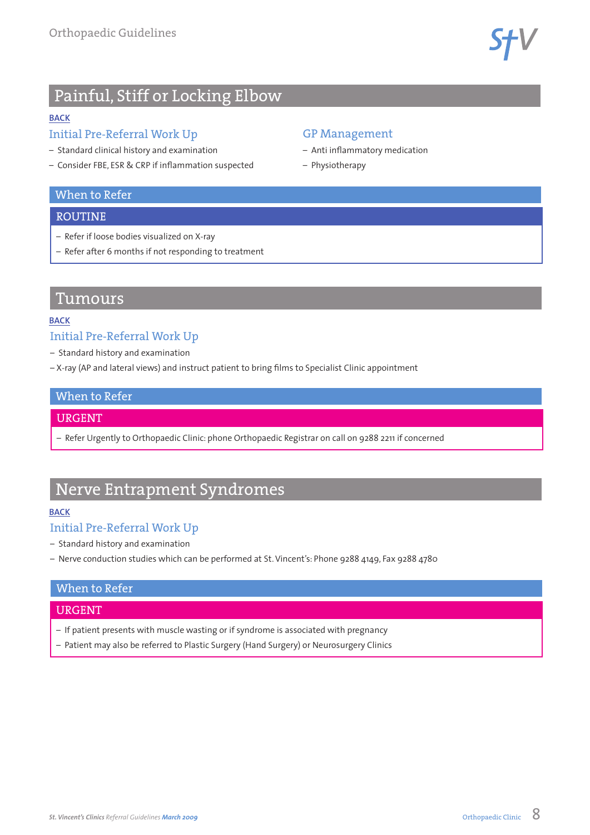**SfV** 

## <span id="page-8-0"></span>Painful, Stiff or Locking Elbow

### **[BACK](#page-0-0)**

## Initial Pre-Referral Work Up

- Standard clinical history and examination
- Consider FBE, ESR & CRP if inflammation suspected

## When to Refer

## ROUTINE

- Refer if loose bodies visualized on X-ray
- Refer after 6 months if not responding to treatment

## Tumours

### **[BACK](#page-0-0)**

## Initial Pre-Referral Work Up

- Standard history and examination
- X-ray (AP and lateral views) and instruct patient to bring films to Specialist Clinic appointment

## When to Refer

## URGENT

– Refer Urgently to Orthopaedic Clinic: phone Orthopaedic Registrar on call on 9288 2211 if concerned

GP Management

– Physiotherapy

– Anti inflammatory medication

## Nerve Entrapment Syndromes

#### **[BACK](#page-0-0)**

## Initial Pre-Referral Work Up

- Standard history and examination
- Nerve conduction studies which can be performed at St. Vincent's: Phone 9288 4149, Fax 9288 4780

## When to Refer

## URGENT

- If patient presents with muscle wasting or if syndrome is associated with pregnancy
- Patient may also be referred to Plastic Surgery (Hand Surgery) or Neurosurgery Clinics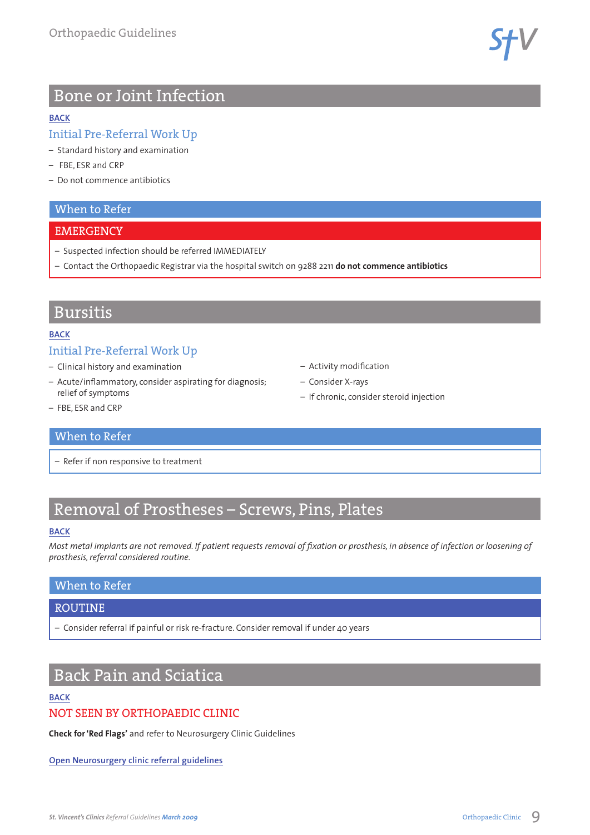**STV** 

## <span id="page-9-0"></span>Bone or Joint Infection

#### **[BACK](#page-0-0)**

## Initial Pre-Referral Work Up

- Standard history and examination
- FBE, ESR and CRP
- Do not commence antibiotics

### When to Refer

#### **EMERGENCY**

- Suspected infection should be referred IMMEDIATELY
- Contact the Orthopaedic Registrar via the hospital switch on 9288 2211 **do not commence antibiotics**

## Bursitis

#### **[BACK](#page-0-0)**

## Initial Pre-Referral Work Up

- Clinical history and examination
- Acute/inflammatory, consider aspirating for diagnosis; relief of symptoms
- Activity modification
- Consider X-rays
- If chronic, consider steroid injection

– FBE, ESR and CRP

## When to Refer

– Refer if non responsive to treatment

# Removal of Prostheses – Screws, Pins, Plates

#### **[BACK](#page-0-0)**

*Most metal implants are not removed. If patient requests removal of fixation or prosthesis, in absence of infection or loosening of prosthesis, referral considered routine.*

## When to Refer

#### ROUTINE

– Consider referral if painful or risk re-fracture. Consider removal if under 40 years

## Back Pain and Sciatica

### **[BACK](#page-0-0)**

## NOT SEEN BY ORTHOPAEDIC CLINIC

**Check for 'Red Flags'** and refer to Neurosurgery Clinic Guidelines

**[Open Neurosurgery clinic referral guidelines](www.svhm.org.au/GP/Docs/SVHGPGuide_Neurosurgery.pdf)**